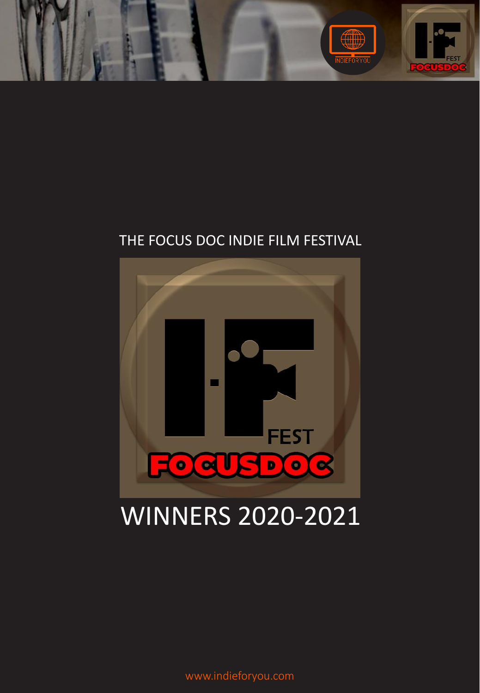

## THE FOCUS DOC INDIE FILM FESTIVAL



## WINNERS 2020-2021

www.indieforyou.com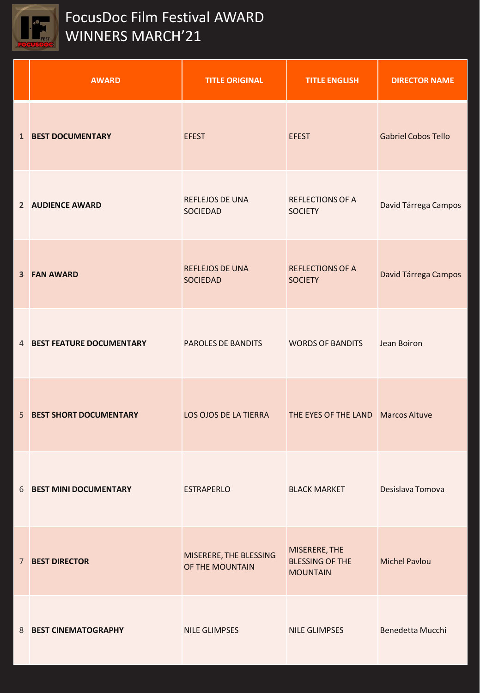

## FocusDoc Film Festival AWARD WINNERS MARCH'21

|   | <b>AWARD</b>                  | <b>TITLE ORIGINAL</b>                     | <b>TITLE ENGLISH</b>                                       | <b>DIRECTOR NAME</b>       |
|---|-------------------------------|-------------------------------------------|------------------------------------------------------------|----------------------------|
|   | <b>1 BEST DOCUMENTARY</b>     | <b>EFEST</b>                              | <b>EFEST</b>                                               | <b>Gabriel Cobos Tello</b> |
|   | 2 AUDIENCE AWARD              | REFLEJOS DE UNA<br>SOCIEDAD               | <b>REFLECTIONS OF A</b><br><b>SOCIETY</b>                  | David Tárrega Campos       |
|   | <b>3 FAN AWARD</b>            | <b>REFLEJOS DE UNA</b><br><b>SOCIEDAD</b> | <b>REFLECTIONS OF A</b><br><b>SOCIETY</b>                  | David Tárrega Campos       |
|   | 4 BEST FEATURE DOCUMENTARY    | PAROLES DE BANDITS                        | <b>WORDS OF BANDITS</b>                                    | Jean Boiron                |
| 5 | <b>BEST SHORT DOCUMENTARY</b> | LOS OJOS DE LA TIERRA                     | THE EYES OF THE LAND Marcos Altuve                         |                            |
|   | 6 BEST MINI DOCUMENTARY       | <b>ESTRAPERLO</b>                         | <b>BLACK MARKET</b>                                        | Desislava Tomova           |
|   | <b>7 BEST DIRECTOR</b>        | MISERERE, THE BLESSING<br>OF THE MOUNTAIN | MISERERE, THE<br><b>BLESSING OF THE</b><br><b>MOUNTAIN</b> | <b>Michel Pavlou</b>       |
|   | 8 BEST CINEMATOGRAPHY         | NILE GLIMPSES                             | <b>NILE GLIMPSES</b>                                       | Benedetta Mucchi           |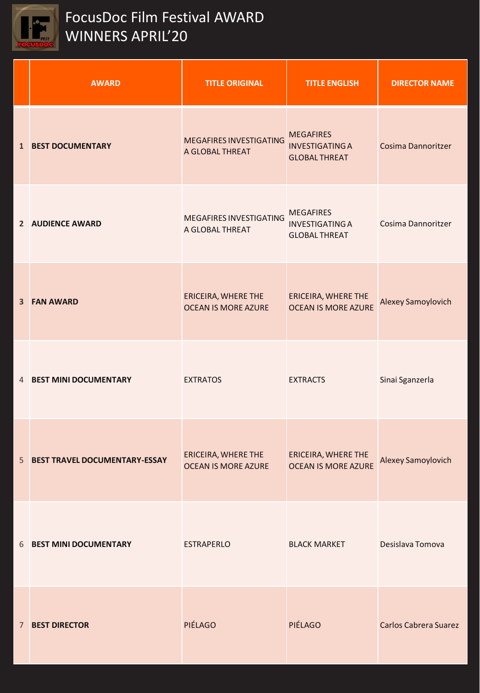

| <b>AWARD</b>                           | <b>TITLE ORIGINAL</b>                             | <b>TITLE ENGLISH</b>                                               | <b>DIRECTOR NAME</b>         |
|----------------------------------------|---------------------------------------------------|--------------------------------------------------------------------|------------------------------|
| <b>1 BEST DOCUMENTARY</b>              | <b>MEGAFIRES INVESTIGATING</b><br>A GLOBAL THREAT | <b>MEGAFIRES</b><br><b>INVESTIGATING A</b><br><b>GLOBAL THREAT</b> | <b>Cosima Dannoritzer</b>    |
| 2 AUDIENCE AWARD                       | <b>MEGAFIRES INVESTIGATING</b><br>A GLOBAL THREAT | <b>MEGAFIRES</b><br><b>INVESTIGATING A</b><br><b>GLOBAL THREAT</b> | Cosima Dannoritzer           |
| <b>3 FAN AWARD</b>                     | ERICEIRA, WHERE THE<br><b>OCEAN IS MORE AZURE</b> | <b>ERICEIRA, WHERE THE</b><br><b>OCEAN IS MORE AZURE</b>           | <b>Alexey Samoylovich</b>    |
| 4 BEST MINI DOCUMENTARY                | <b>EXTRATOS</b>                                   | <b>EXTRACTS</b>                                                    | Sinai Sganzerla              |
| <b>5 BEST TRAVEL DOCUMENTARY-ESSAY</b> | ERICEIRA, WHERE THE<br><b>OCEAN IS MORE AZURE</b> | <b>ERICEIRA, WHERE THE</b><br><b>OCEAN IS MORE AZURE</b>           | Alexey Samoylovich           |
| 6 BEST MINI DOCUMENTARY                | <b>ESTRAPERLO</b>                                 | <b>BLACK MARKET</b>                                                | Desislava Tomova             |
| <b>7 BEST DIRECTOR</b>                 | PIÉLAGO                                           | PIÉLAGO                                                            | <b>Carlos Cabrera Suarez</b> |